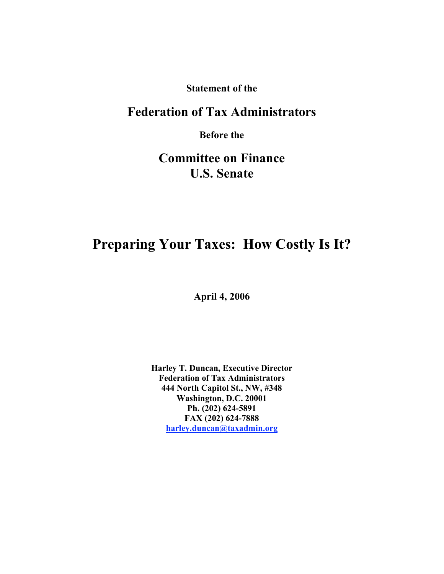**Statement of the**

# **Federation of Tax Administrators**

**Before the**

# **Committee on Finance U.S. Senate**

# **Preparing Your Taxes: How Costly Is It?**

**April 4, 2006**

**Harley T. Duncan, Executive Director Federation of Tax Administrators 444 North Capitol St., NW, #348 Washington, D.C. 20001 Ph. (202) 624-5891 FAX (202) 624-7888 harley.duncan@taxadmin.org**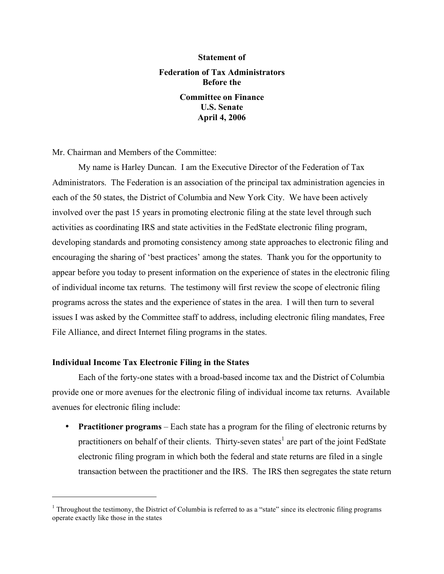# **Statement of Federation of Tax Administrators Before the Committee on Finance U.S. Senate**

**April 4, 2006**

Mr. Chairman and Members of the Committee:

My name is Harley Duncan. I am the Executive Director of the Federation of Tax Administrators. The Federation is an association of the principal tax administration agencies in each of the 50 states, the District of Columbia and New York City. We have been actively involved over the past 15 years in promoting electronic filing at the state level through such activities as coordinating IRS and state activities in the FedState electronic filing program, developing standards and promoting consistency among state approaches to electronic filing and encouraging the sharing of 'best practices' among the states. Thank you for the opportunity to appear before you today to present information on the experience of states in the electronic filing of individual income tax returns. The testimony will first review the scope of electronic filing programs across the states and the experience of states in the area. I will then turn to several issues I was asked by the Committee staff to address, including electronic filing mandates, Free File Alliance, and direct Internet filing programs in the states.

## **Individual Income Tax Electronic Filing in the States**

 $\overline{a}$ 

Each of the forty-one states with a broad-based income tax and the District of Columbia provide one or more avenues for the electronic filing of individual income tax returns. Available avenues for electronic filing include:

• **Practitioner programs** – Each state has a program for the filing of electronic returns by practitioners on behalf of their clients. Thirty-seven states<sup>1</sup> are part of the joint FedState electronic filing program in which both the federal and state returns are filed in a single transaction between the practitioner and the IRS. The IRS then segregates the state return

 $<sup>1</sup>$  Throughout the testimony, the District of Columbia is referred to as a "state" since its electronic filing programs</sup> operate exactly like those in the states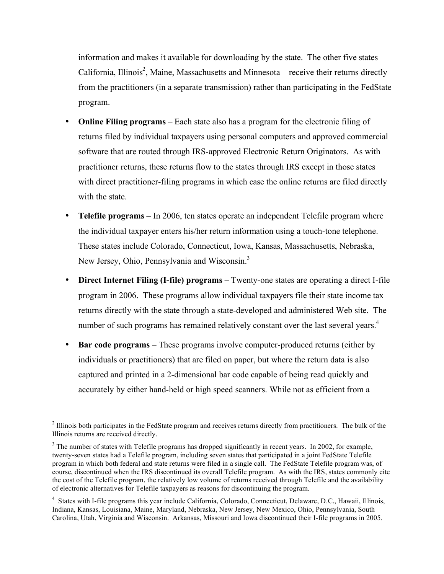information and makes it available for downloading by the state. The other five states – California, Illinois<sup>2</sup>, Maine, Massachusetts and Minnesota – receive their returns directly from the practitioners (in a separate transmission) rather than participating in the FedState program.

- **Online Filing programs** Each state also has a program for the electronic filing of returns filed by individual taxpayers using personal computers and approved commercial software that are routed through IRS-approved Electronic Return Originators. As with practitioner returns, these returns flow to the states through IRS except in those states with direct practitioner-filing programs in which case the online returns are filed directly with the state.
- **Telefile programs** In 2006, ten states operate an independent Telefile program where the individual taxpayer enters his/her return information using a touch-tone telephone. These states include Colorado, Connecticut, Iowa, Kansas, Massachusetts, Nebraska, New Jersey, Ohio, Pennsylvania and Wisconsin.<sup>3</sup>
- **Direct Internet Filing (I-file) programs** Twenty-one states are operating a direct I-file program in 2006. These programs allow individual taxpayers file their state income tax returns directly with the state through a state-developed and administered Web site. The number of such programs has remained relatively constant over the last several years.<sup>4</sup>
- **Bar code programs** These programs involve computer-produced returns (either by individuals or practitioners) that are filed on paper, but where the return data is also captured and printed in a 2-dimensional bar code capable of being read quickly and accurately by either hand-held or high speed scanners. While not as efficient from a

<sup>&</sup>lt;sup>2</sup> Illinois both participates in the FedState program and receives returns directly from practitioners. The bulk of the Illinois returns are received directly.

<sup>&</sup>lt;sup>3</sup> The number of states with Telefile programs has dropped significantly in recent years. In 2002, for example, twenty-seven states had a Telefile program, including seven states that participated in a joint FedState Telefile program in which both federal and state returns were filed in a single call. The FedState Telefile program was, of course, discontinued when the IRS discontinued its overall Telefile program. As with the IRS, states commonly cite the cost of the Telefile program, the relatively low volume of returns received through Telefile and the availability of electronic alternatives for Telefile taxpayers as reasons for discontinuing the program.

<sup>&</sup>lt;sup>4</sup> States with I-file programs this year include California, Colorado, Connecticut, Delaware, D.C., Hawaii, Illinois, Indiana, Kansas, Louisiana, Maine, Maryland, Nebraska, New Jersey, New Mexico, Ohio, Pennsylvania, South Carolina, Utah, Virginia and Wisconsin. Arkansas, Missouri and Iowa discontinued their I-file programs in 2005.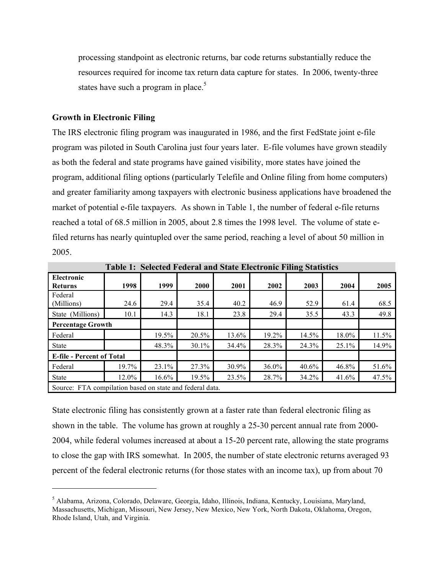processing standpoint as electronic returns, bar code returns substantially reduce the resources required for income tax return data capture for states. In 2006, twenty-three states have such a program in place.<sup>5</sup>

#### **Growth in Electronic Filing**

 $\overline{a}$ 

The IRS electronic filing program was inaugurated in 1986, and the first FedState joint e-file program was piloted in South Carolina just four years later. E-file volumes have grown steadily as both the federal and state programs have gained visibility, more states have joined the program, additional filing options (particularly Telefile and Online filing from home computers) and greater familiarity among taxpayers with electronic business applications have broadened the market of potential e-file taxpayers. As shown in Table 1, the number of federal e-file returns reached a total of 68.5 million in 2005, about 2.8 times the 1998 level. The volume of state efiled returns has nearly quintupled over the same period, reaching a level of about 50 million in 2005.

|                                                          | <b>Table 1: Selected Federal and State Electronic Filing Statistics</b> |       |             |       |       |       |       |       |
|----------------------------------------------------------|-------------------------------------------------------------------------|-------|-------------|-------|-------|-------|-------|-------|
| Electronic<br><b>Returns</b>                             | 1998                                                                    | 1999  | <b>2000</b> | 2001  | 2002  | 2003  | 2004  | 2005  |
| Federal<br>(Millions)                                    | 24.6                                                                    | 29.4  | 35.4        | 40.2  | 46.9  | 52.9  | 61.4  | 68.5  |
| State (Millions)                                         | 10.1                                                                    | 14.3  | 18.1        | 23.8  | 29.4  | 35.5  | 43.3  | 49.8  |
| <b>Percentage Growth</b>                                 |                                                                         |       |             |       |       |       |       |       |
| Federal                                                  |                                                                         | 19.5% | 20.5%       | 13.6% | 19.2% | 14.5% | 18.0% | 11.5% |
| <b>State</b>                                             |                                                                         | 48.3% | $30.1\%$    | 34.4% | 28.3% | 24.3% | 25.1% | 14.9% |
| <b>E-file - Percent of Total</b>                         |                                                                         |       |             |       |       |       |       |       |
| Federal                                                  | 19.7%                                                                   | 23.1% | 27.3%       | 30.9% | 36.0% | 40.6% | 46.8% | 51.6% |
| <b>State</b>                                             | 12.0%                                                                   | 16.6% | 19.5%       | 23.5% | 28.7% | 34.2% | 41.6% | 47.5% |
| Source: FTA compilation based on state and federal data. |                                                                         |       |             |       |       |       |       |       |

State electronic filing has consistently grown at a faster rate than federal electronic filing as shown in the table. The volume has grown at roughly a 25-30 percent annual rate from 2000- 2004, while federal volumes increased at about a 15-20 percent rate, allowing the state programs to close the gap with IRS somewhat. In 2005, the number of state electronic returns averaged 93 percent of the federal electronic returns (for those states with an income tax), up from about 70

<sup>5</sup> Alabama, Arizona, Colorado, Delaware, Georgia, Idaho, Illinois, Indiana, Kentucky, Louisiana, Maryland, Massachusetts, Michigan, Missouri, New Jersey, New Mexico, New York, North Dakota, Oklahoma, Oregon, Rhode Island, Utah, and Virginia.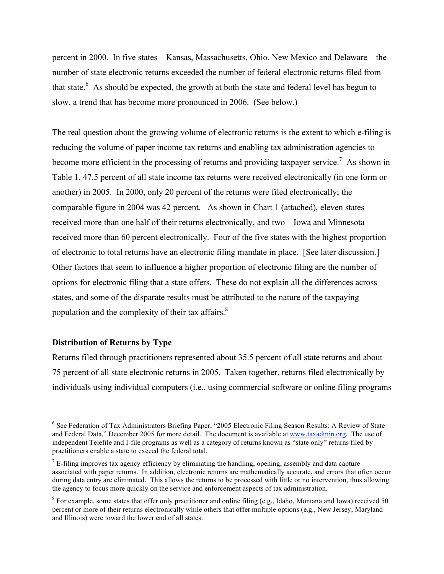percent in 2000. In five states – Kansas, Massachusetts, Ohio, New Mexico and Delaware – the number of state electronic returns exceeded the number of federal electronic returns filed from that state.<sup>6</sup> As should be expected, the growth at both the state and federal level has begun to slow, a trend that has become more pronounced in 2006. (See below.)

The real question about the growing volume of electronic returns is the extent to which e-filing is reducing the volume of paper income tax returns and enabling tax administration agencies to become more efficient in the processing of returns and providing taxpayer service.<sup>7</sup> As shown in Table 1, 47.5 percent of all state income tax returns were received electronically (in one form or another) in 2005. In 2000, only 20 percent of the returns were filed electronically; the comparable figure in 2004 was 42 percent. As shown in Chart 1 (attached), eleven states received more than one half of their returns electronically, and two – Iowa and Minnesota – received more than 60 percent electronically. Four of the five states with the highest proportion of electronic to total returns have an electronic filing mandate in place. [See later discussion.] Other factors that seem to influence a higher proportion of electronic filing are the number of options for electronic filing that a state offers. These do not explain all the differences across states, and some of the disparate results must be attributed to the nature of the taxpaying population and the complexity of their tax affairs.<sup>8</sup>

## **Distribution of Returns by Type**

 $\overline{a}$ 

Returns filed through practitioners represented about 35.5 percent of all state returns and about 75 percent of all state electronic returns in 2005. Taken together, returns filed electronically by individuals using individual computers (i.e., using commercial software or online filing programs

<sup>6</sup> See Federation of Tax Administrators Briefing Paper, "2005 Electronic Filing Season Results: A Review of State and Federal Data," December 2005 for more detail. The document is available at www.taxadmin.org. The use of independent Telefile and I-file programs as well as a category of returns known as "state only" returns filed by practitioners enable a state to exceed the federal total.

 $<sup>7</sup>$  E-filing improves tax agency efficiency by eliminating the handling, opening, assembly and data capture</sup> associated with paper returns. In addition, electronic returns are mathematically accurate, and errors that often occur during data entry are eliminated. This allows the returns to be processed with little or no intervention, thus allowing the agency to focus more quickly on the service and enforcement aspects of tax administration.

<sup>&</sup>lt;sup>8</sup> For example, some states that offer only practitioner and online filing (e.g., Idaho, Montana and Iowa) received 50 percent or more of their returns electronically while others that offer multiple options (e.g., New Jersey, Maryland and Illinois) were toward the lower end of all states.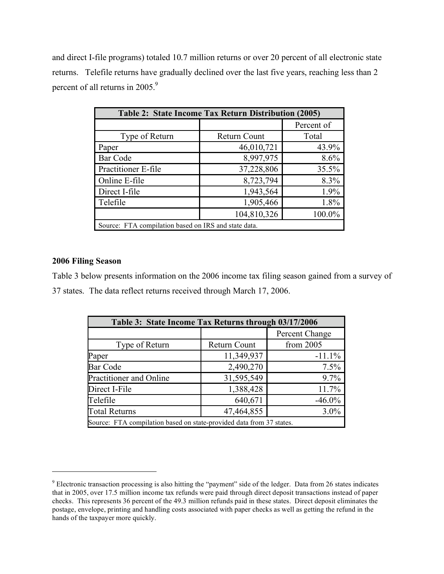and direct I-file programs) totaled 10.7 million returns or over 20 percent of all electronic state returns. Telefile returns have gradually declined over the last five years, reaching less than 2 percent of all returns in 2005.<sup>9</sup>

| Table 2: State Income Tax Return Distribution (2005) |                     |            |  |  |  |  |
|------------------------------------------------------|---------------------|------------|--|--|--|--|
|                                                      |                     | Percent of |  |  |  |  |
| Type of Return                                       | <b>Return Count</b> | Total      |  |  |  |  |
| Paper                                                | 46,010,721          | 43.9%      |  |  |  |  |
| <b>Bar Code</b>                                      | 8,997,975           | 8.6%       |  |  |  |  |
| Practitioner E-file                                  | 37,228,806          | 35.5%      |  |  |  |  |
| Online E-file                                        | 8,723,794           | 8.3%       |  |  |  |  |
| Direct I-file                                        | 1,943,564           | 1.9%       |  |  |  |  |
| Telefile                                             | 1,905,466           | 1.8%       |  |  |  |  |
|                                                      | 104,810,326         | 100.0%     |  |  |  |  |
| Source: FTA compilation based on IRS and state data. |                     |            |  |  |  |  |

## **2006 Filing Season**

 $\overline{a}$ 

Table 3 below presents information on the 2006 income tax filing season gained from a survey of 37 states. The data reflect returns received through March 17, 2006.

| Table 3: State Income Tax Returns through 03/17/2006                 |              |                |  |  |  |  |
|----------------------------------------------------------------------|--------------|----------------|--|--|--|--|
|                                                                      |              | Percent Change |  |  |  |  |
| Type of Return                                                       | Return Count | from 2005      |  |  |  |  |
| Paper                                                                | 11,349,937   | $-11.1%$       |  |  |  |  |
| Bar Code                                                             | 2,490,270    | 7.5%           |  |  |  |  |
| Practitioner and Online                                              | 31,595,549   | 9.7%           |  |  |  |  |
| Direct I-File                                                        | 1,388,428    | 11.7%          |  |  |  |  |
| Telefile                                                             | 640,671      | $-46.0\%$      |  |  |  |  |
| <b>Total Returns</b>                                                 | 47,464,855   | 3.0%           |  |  |  |  |
| Source: FTA compilation based on state-provided data from 37 states. |              |                |  |  |  |  |

<sup>&</sup>lt;sup>9</sup> Electronic transaction processing is also hitting the "payment" side of the ledger. Data from 26 states indicates that in 2005, over 17.5 million income tax refunds were paid through direct deposit transactions instead of paper checks. This represents 36 percent of the 49.3 million refunds paid in these states. Direct deposit eliminates the postage, envelope, printing and handling costs associated with paper checks as well as getting the refund in the hands of the taxpayer more quickly.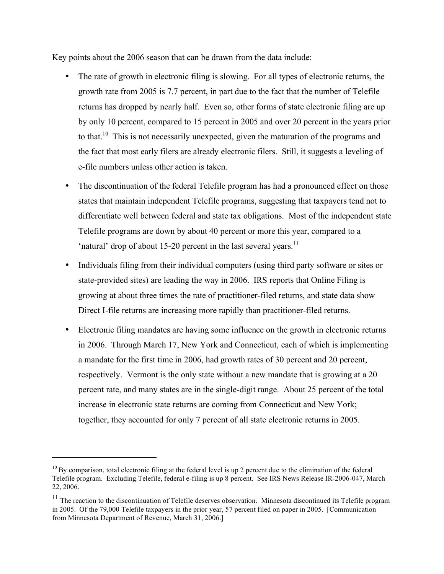Key points about the 2006 season that can be drawn from the data include:

- The rate of growth in electronic filing is slowing. For all types of electronic returns, the growth rate from 2005 is 7.7 percent, in part due to the fact that the number of Telefile returns has dropped by nearly half. Even so, other forms of state electronic filing are up by only 10 percent, compared to 15 percent in 2005 and over 20 percent in the years prior to that.<sup>10</sup> This is not necessarily unexpected, given the maturation of the programs and the fact that most early filers are already electronic filers. Still, it suggests a leveling of e-file numbers unless other action is taken.
- The discontinuation of the federal Telefile program has had a pronounced effect on those states that maintain independent Telefile programs, suggesting that taxpayers tend not to differentiate well between federal and state tax obligations. Most of the independent state Telefile programs are down by about 40 percent or more this year, compared to a 'natural' drop of about 15-20 percent in the last several years.<sup>11</sup>
- Individuals filing from their individual computers (using third party software or sites or state-provided sites) are leading the way in 2006. IRS reports that Online Filing is growing at about three times the rate of practitioner-filed returns, and state data show Direct I-file returns are increasing more rapidly than practitioner-filed returns.
- Electronic filing mandates are having some influence on the growth in electronic returns in 2006. Through March 17, New York and Connecticut, each of which is implementing a mandate for the first time in 2006, had growth rates of 30 percent and 20 percent, respectively. Vermont is the only state without a new mandate that is growing at a 20 percent rate, and many states are in the single-digit range. About 25 percent of the total increase in electronic state returns are coming from Connecticut and New York; together, they accounted for only 7 percent of all state electronic returns in 2005.

 $10$  By comparison, total electronic filing at the federal level is up 2 percent due to the elimination of the federal Telefile program. Excluding Telefile, federal e-filing is up 8 percent. See IRS News Release IR-2006-047, March 22, 2006.

 $11$  The reaction to the discontinuation of Telefile deserves observation. Minnesota discontinued its Telefile program in 2005. Of the 79,000 Telefile taxpayers in the prior year, 57 percent filed on paper in 2005. [Communication from Minnesota Department of Revenue, March 31, 2006.]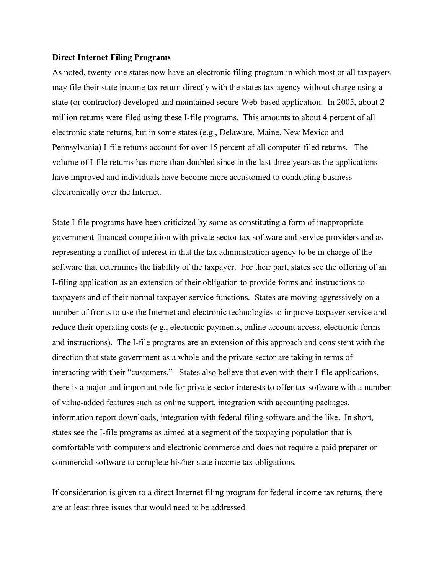#### **Direct Internet Filing Programs**

As noted, twenty-one states now have an electronic filing program in which most or all taxpayers may file their state income tax return directly with the states tax agency without charge using a state (or contractor) developed and maintained secure Web-based application. In 2005, about 2 million returns were filed using these I-file programs. This amounts to about 4 percent of all electronic state returns, but in some states (e.g., Delaware, Maine, New Mexico and Pennsylvania) I-file returns account for over 15 percent of all computer-filed returns. The volume of I-file returns has more than doubled since in the last three years as the applications have improved and individuals have become more accustomed to conducting business electronically over the Internet.

State I-file programs have been criticized by some as constituting a form of inappropriate government-financed competition with private sector tax software and service providers and as representing a conflict of interest in that the tax administration agency to be in charge of the software that determines the liability of the taxpayer. For their part, states see the offering of an I-filing application as an extension of their obligation to provide forms and instructions to taxpayers and of their normal taxpayer service functions. States are moving aggressively on a number of fronts to use the Internet and electronic technologies to improve taxpayer service and reduce their operating costs (e.g., electronic payments, online account access, electronic forms and instructions). The I-file programs are an extension of this approach and consistent with the direction that state government as a whole and the private sector are taking in terms of interacting with their "customers." States also believe that even with their I-file applications, there is a major and important role for private sector interests to offer tax software with a number of value-added features such as online support, integration with accounting packages, information report downloads, integration with federal filing software and the like. In short, states see the I-file programs as aimed at a segment of the taxpaying population that is comfortable with computers and electronic commerce and does not require a paid preparer or commercial software to complete his/her state income tax obligations.

If consideration is given to a direct Internet filing program for federal income tax returns, there are at least three issues that would need to be addressed.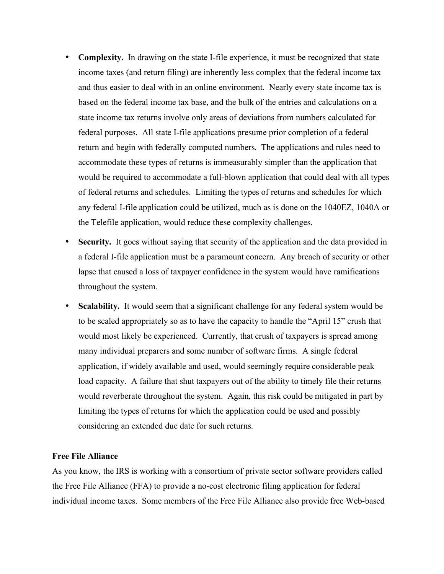- **Complexity.** In drawing on the state I-file experience, it must be recognized that state income taxes (and return filing) are inherently less complex that the federal income tax and thus easier to deal with in an online environment. Nearly every state income tax is based on the federal income tax base, and the bulk of the entries and calculations on a state income tax returns involve only areas of deviations from numbers calculated for federal purposes. All state I-file applications presume prior completion of a federal return and begin with federally computed numbers. The applications and rules need to accommodate these types of returns is immeasurably simpler than the application that would be required to accommodate a full-blown application that could deal with all types of federal returns and schedules. Limiting the types of returns and schedules for which any federal I-file application could be utilized, much as is done on the 1040EZ, 1040A or the Telefile application, would reduce these complexity challenges.
- **Security.** It goes without saying that security of the application and the data provided in a federal I-file application must be a paramount concern. Any breach of security or other lapse that caused a loss of taxpayer confidence in the system would have ramifications throughout the system.
- **Scalability.** It would seem that a significant challenge for any federal system would be to be scaled appropriately so as to have the capacity to handle the "April 15" crush that would most likely be experienced. Currently, that crush of taxpayers is spread among many individual preparers and some number of software firms. A single federal application, if widely available and used, would seemingly require considerable peak load capacity. A failure that shut taxpayers out of the ability to timely file their returns would reverberate throughout the system. Again, this risk could be mitigated in part by limiting the types of returns for which the application could be used and possibly considering an extended due date for such returns.

#### **Free File Alliance**

As you know, the IRS is working with a consortium of private sector software providers called the Free File Alliance (FFA) to provide a no-cost electronic filing application for federal individual income taxes. Some members of the Free File Alliance also provide free Web-based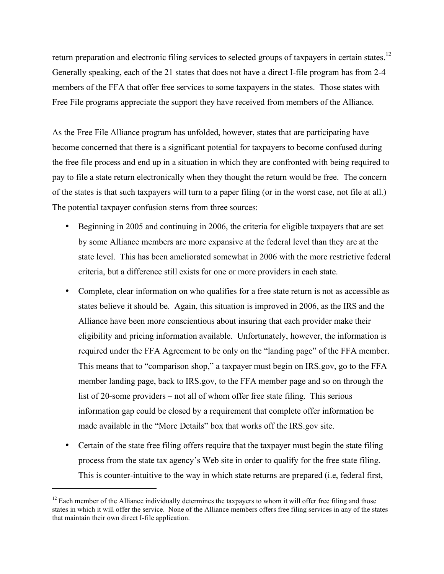return preparation and electronic filing services to selected groups of taxpayers in certain states.<sup>12</sup> Generally speaking, each of the 21 states that does not have a direct I-file program has from 2-4 members of the FFA that offer free services to some taxpayers in the states. Those states with Free File programs appreciate the support they have received from members of the Alliance.

As the Free File Alliance program has unfolded, however, states that are participating have become concerned that there is a significant potential for taxpayers to become confused during the free file process and end up in a situation in which they are confronted with being required to pay to file a state return electronically when they thought the return would be free. The concern of the states is that such taxpayers will turn to a paper filing (or in the worst case, not file at all.) The potential taxpayer confusion stems from three sources:

- Beginning in 2005 and continuing in 2006, the criteria for eligible taxpayers that are set by some Alliance members are more expansive at the federal level than they are at the state level. This has been ameliorated somewhat in 2006 with the more restrictive federal criteria, but a difference still exists for one or more providers in each state.
- Complete, clear information on who qualifies for a free state return is not as accessible as states believe it should be. Again, this situation is improved in 2006, as the IRS and the Alliance have been more conscientious about insuring that each provider make their eligibility and pricing information available. Unfortunately, however, the information is required under the FFA Agreement to be only on the "landing page" of the FFA member. This means that to "comparison shop," a taxpayer must begin on IRS.gov, go to the FFA member landing page, back to IRS.gov, to the FFA member page and so on through the list of 20-some providers – not all of whom offer free state filing. This serious information gap could be closed by a requirement that complete offer information be made available in the "More Details" box that works off the IRS.gov site.
- Certain of the state free filing offers require that the taxpayer must begin the state filing process from the state tax agency's Web site in order to qualify for the free state filing. This is counter-intuitive to the way in which state returns are prepared (i.e, federal first,

 $12$  Each member of the Alliance individually determines the taxpayers to whom it will offer free filing and those states in which it will offer the service. None of the Alliance members offers free filing services in any of the states that maintain their own direct I-file application.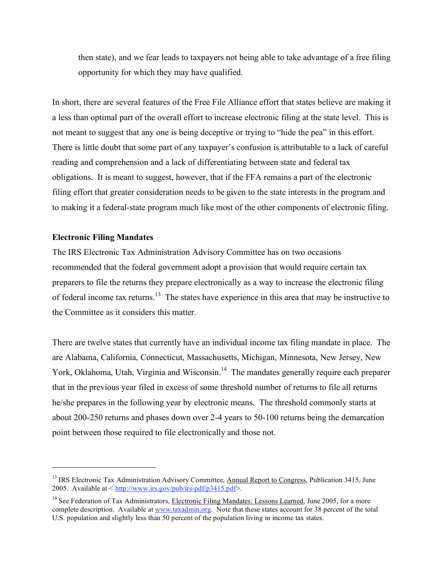then state), and we fear leads to taxpayers not being able to take advantage of a free filing opportunity for which they may have qualified.

In short, there are several features of the Free File Alliance effort that states believe are making it a less than optimal part of the overall effort to increase electronic filing at the state level. This is not meant to suggest that any one is being deceptive or trying to "hide the pea" in this effort. There is little doubt that some part of any taxpayer's confusion is attributable to a lack of careful reading and comprehension and a lack of differentiating between state and federal tax obligations. It is meant to suggest, however, that if the FFA remains a part of the electronic filing effort that greater consideration needs to be given to the state interests in the program and to making it a federal-state program much like most of the other components of electronic filing.

#### **Electronic Filing Mandates**

 $\overline{a}$ 

The IRS Electronic Tax Administration Advisory Committee has on two occasions recommended that the federal government adopt a provision that would require certain tax preparers to file the returns they prepare electronically as a way to increase the electronic filing of federal income tax returns.<sup>13</sup> The states have experience in this area that may be instructive to the Committee as it considers this matter.

There are twelve states that currently have an individual income tax filing mandate in place. The are Alabama, California, Connecticut, Massachusetts, Michigan, Minnesota, New Jersey, New York, Oklahoma, Utah, Virginia and Wisconsin.<sup>14</sup> The mandates generally require each preparer that in the previous year filed in excess of some threshold number of returns to file all returns he/she prepares in the following year by electronic means. The threshold commonly starts at about 200-250 returns and phases down over 2-4 years to 50-100 returns being the demarcation point between those required to file electronically and those not.

<sup>&</sup>lt;sup>13</sup> IRS Electronic Tax Administration Advisory Committee, Annual Report to Congress, Publication 3415, June 2005. Available at < http://www.irs.gov/pub/irs-pdf/p3415.pdf>.

<sup>&</sup>lt;sup>14</sup> See Federation of Tax Administrators, Electronic Filing Mandates: Lessons Learned, June 2005, for a more complete description. Available at www.taxadmin.org. Note that these states account for 38 percent of the total U.S. population and slightly less than 50 percent of the population living in income tax states.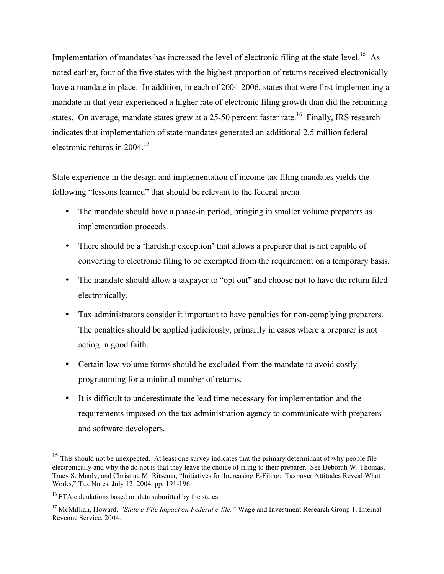Implementation of mandates has increased the level of electronic filing at the state level.<sup>15</sup> As noted earlier, four of the five states with the highest proportion of returns received electronically have a mandate in place. In addition, in each of 2004-2006, states that were first implementing a mandate in that year experienced a higher rate of electronic filing growth than did the remaining states. On average, mandate states grew at a 25-50 percent faster rate.<sup>16</sup> Finally, IRS research indicates that implementation of state mandates generated an additional 2.5 million federal electronic returns in 2004.17

State experience in the design and implementation of income tax filing mandates yields the following "lessons learned" that should be relevant to the federal arena.

- The mandate should have a phase-in period, bringing in smaller volume preparers as implementation proceeds.
- There should be a 'hardship exception' that allows a preparer that is not capable of converting to electronic filing to be exempted from the requirement on a temporary basis.
- The mandate should allow a taxpayer to "opt out" and choose not to have the return filed electronically.
- Tax administrators consider it important to have penalties for non-complying preparers. The penalties should be applied judiciously, primarily in cases where a preparer is not acting in good faith.
- Certain low-volume forms should be excluded from the mandate to avoid costly programming for a minimal number of returns.
- It is difficult to underestimate the lead time necessary for implementation and the requirements imposed on the tax administration agency to communicate with preparers and software developers.

<sup>&</sup>lt;sup>15</sup> This should not be unexpected. At least one survey indicates that the primary determinant of why people file electronically and why the do not is that they leave the choice of filing to their preparer. See Deborah W. Thomas, Tracy S. Manly, and Christina M. Ritsema, "Initiatives for Increasing E-Filing: Taxpayer Attitudes Reveal What Works," Tax Notes, July 12, 2004, pp. 191-196.

<sup>&</sup>lt;sup>16</sup> FTA calculations based on data submitted by the states.

<sup>17</sup> McMillian, Howard. *"State e-File Impact on Federal e-file."* Wage and Investment Research Group 1, Internal Revenue Service, 2004.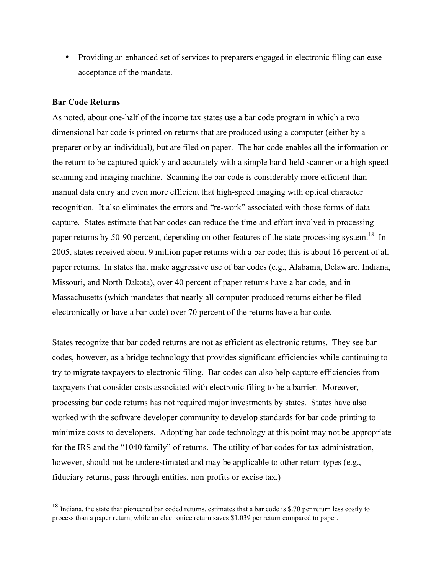• Providing an enhanced set of services to preparers engaged in electronic filing can ease acceptance of the mandate.

#### **Bar Code Returns**

 $\overline{a}$ 

As noted, about one-half of the income tax states use a bar code program in which a two dimensional bar code is printed on returns that are produced using a computer (either by a preparer or by an individual), but are filed on paper. The bar code enables all the information on the return to be captured quickly and accurately with a simple hand-held scanner or a high-speed scanning and imaging machine. Scanning the bar code is considerably more efficient than manual data entry and even more efficient that high-speed imaging with optical character recognition. It also eliminates the errors and "re-work" associated with those forms of data capture. States estimate that bar codes can reduce the time and effort involved in processing paper returns by 50-90 percent, depending on other features of the state processing system.<sup>18</sup> In 2005, states received about 9 million paper returns with a bar code; this is about 16 percent of all paper returns. In states that make aggressive use of bar codes (e.g., Alabama, Delaware, Indiana, Missouri, and North Dakota), over 40 percent of paper returns have a bar code, and in Massachusetts (which mandates that nearly all computer-produced returns either be filed electronically or have a bar code) over 70 percent of the returns have a bar code.

States recognize that bar coded returns are not as efficient as electronic returns. They see bar codes, however, as a bridge technology that provides significant efficiencies while continuing to try to migrate taxpayers to electronic filing. Bar codes can also help capture efficiencies from taxpayers that consider costs associated with electronic filing to be a barrier. Moreover, processing bar code returns has not required major investments by states. States have also worked with the software developer community to develop standards for bar code printing to minimize costs to developers. Adopting bar code technology at this point may not be appropriate for the IRS and the "1040 family" of returns. The utility of bar codes for tax administration, however, should not be underestimated and may be applicable to other return types (e.g., fiduciary returns, pass-through entities, non-profits or excise tax.)

 $18$  Indiana, the state that pioneered bar coded returns, estimates that a bar code is \$.70 per return less costly to process than a paper return, while an electronice return saves \$1.039 per return compared to paper.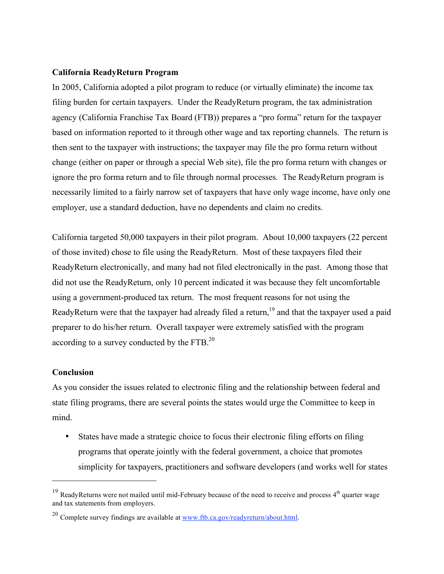### **California ReadyReturn Program**

In 2005, California adopted a pilot program to reduce (or virtually eliminate) the income tax filing burden for certain taxpayers. Under the ReadyReturn program, the tax administration agency (California Franchise Tax Board (FTB)) prepares a "pro forma" return for the taxpayer based on information reported to it through other wage and tax reporting channels. The return is then sent to the taxpayer with instructions; the taxpayer may file the pro forma return without change (either on paper or through a special Web site), file the pro forma return with changes or ignore the pro forma return and to file through normal processes. The ReadyReturn program is necessarily limited to a fairly narrow set of taxpayers that have only wage income, have only one employer, use a standard deduction, have no dependents and claim no credits.

California targeted 50,000 taxpayers in their pilot program. About 10,000 taxpayers (22 percent of those invited) chose to file using the ReadyReturn. Most of these taxpayers filed their ReadyReturn electronically, and many had not filed electronically in the past. Among those that did not use the ReadyReturn, only 10 percent indicated it was because they felt uncomfortable using a government-produced tax return. The most frequent reasons for not using the ReadyReturn were that the taxpayer had already filed a return, <sup>19</sup> and that the taxpayer used a paid preparer to do his/her return. Overall taxpayer were extremely satisfied with the program according to a survey conducted by the FTB. $^{20}$ 

## **Conclusion**

 $\overline{a}$ 

As you consider the issues related to electronic filing and the relationship between federal and state filing programs, there are several points the states would urge the Committee to keep in mind.

• States have made a strategic choice to focus their electronic filing efforts on filing programs that operate jointly with the federal government, a choice that promotes simplicity for taxpayers, practitioners and software developers (and works well for states

<sup>&</sup>lt;sup>19</sup> ReadyReturns were not mailed until mid-February because of the need to receive and process 4<sup>th</sup> quarter wage and tax statements from employers.

<sup>&</sup>lt;sup>20</sup> Complete survey findings are available at  $\underline{www.ftb.ca.gov/readyreturn/about.html}$ .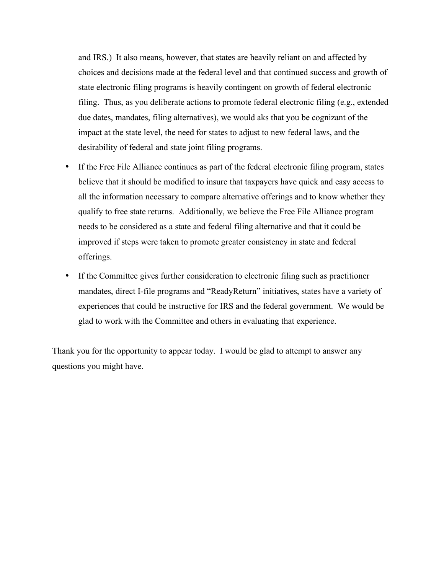and IRS.) It also means, however, that states are heavily reliant on and affected by choices and decisions made at the federal level and that continued success and growth of state electronic filing programs is heavily contingent on growth of federal electronic filing. Thus, as you deliberate actions to promote federal electronic filing (e.g., extended due dates, mandates, filing alternatives), we would aks that you be cognizant of the impact at the state level, the need for states to adjust to new federal laws, and the desirability of federal and state joint filing programs.

- If the Free File Alliance continues as part of the federal electronic filing program, states believe that it should be modified to insure that taxpayers have quick and easy access to all the information necessary to compare alternative offerings and to know whether they qualify to free state returns. Additionally, we believe the Free File Alliance program needs to be considered as a state and federal filing alternative and that it could be improved if steps were taken to promote greater consistency in state and federal offerings.
- If the Committee gives further consideration to electronic filing such as practitioner mandates, direct I-file programs and "ReadyReturn" initiatives, states have a variety of experiences that could be instructive for IRS and the federal government. We would be glad to work with the Committee and others in evaluating that experience.

Thank you for the opportunity to appear today. I would be glad to attempt to answer any questions you might have.